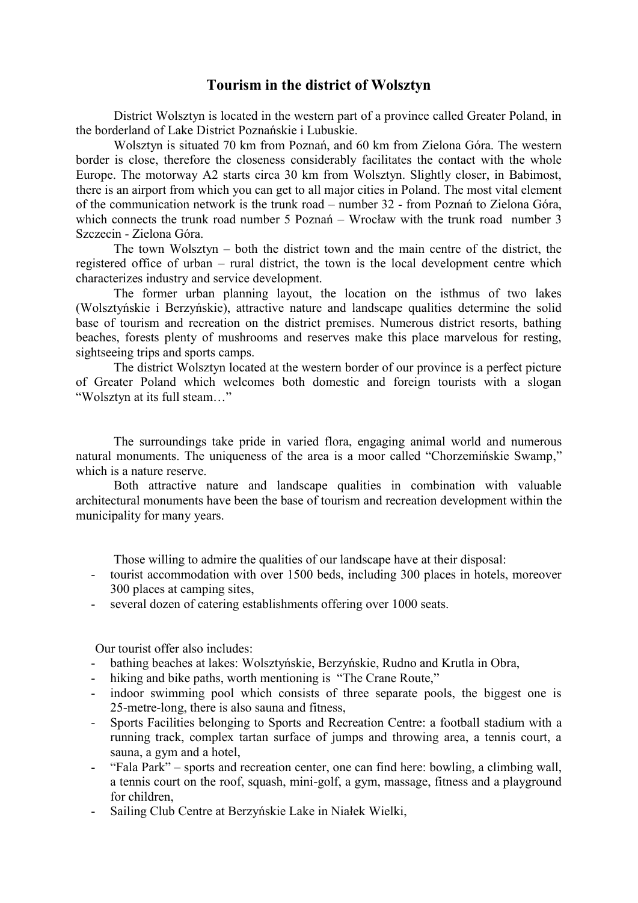#### **Tourism in the district of Wolsztyn**

District Wolsztyn is located in the western part of a province called Greater Poland, in the borderland of Lake District Poznańskie i Lubuskie.

Wolsztyn is situated 70 km from Poznań, and 60 km from Zielona Góra. The western border is close, therefore the closeness considerably facilitates the contact with the whole Europe. The motorway A2 starts circa 30 km from Wolsztyn. Slightly closer, in Babimost, there is an airport from which you can get to all major cities in Poland. The most vital element of the communication network is the trunk road – number 32 - from Poznań to Zielona Góra, which connects the trunk road number 5 Poznań – Wrocław with the trunk road number 3 Szczecin - Zielona Góra.

The town Wolsztyn – both the district town and the main centre of the district, the registered office of urban – rural district, the town is the local development centre which characterizes industry and service development.

The former urban planning layout, the location on the isthmus of two lakes (Wolsztyńskie i Berzyńskie), attractive nature and landscape qualities determine the solid base of tourism and recreation on the district premises. Numerous district resorts, bathing beaches, forests plenty of mushrooms and reserves make this place marvelous for resting, sightseeing trips and sports camps.

The district Wolsztyn located at the western border of our province is a perfect picture of Greater Poland which welcomes both domestic and foreign tourists with a slogan "Wolsztyn at its full steam…"

The surroundings take pride in varied flora, engaging animal world and numerous natural monuments. The uniqueness of the area is a moor called "Chorzemińskie Swamp," which is a nature reserve.

Both attractive nature and landscape qualities in combination with valuable architectural monuments have been the base of tourism and recreation development within the municipality for many years.

Those willing to admire the qualities of our landscape have at their disposal:

- tourist accommodation with over 1500 beds, including 300 places in hotels, moreover 300 places at camping sites,
- several dozen of catering establishments offering over 1000 seats.

Our tourist offer also includes:

- bathing beaches at lakes: Wolsztyńskie, Berzyńskie, Rudno and Krutla in Obra,
- hiking and bike paths, worth mentioning is "The Crane Route,"
- indoor swimming pool which consists of three separate pools, the biggest one is 25-metre-long, there is also sauna and fitness,
- Sports Facilities belonging to Sports and Recreation Centre: a football stadium with a running track, complex tartan surface of jumps and throwing area, a tennis court, a sauna, a gym and a hotel,
- "Fala Park" sports and recreation center, one can find here: bowling, a climbing wall, a tennis court on the roof, squash, mini-golf, a gym, massage, fitness and a playground for children,
- Sailing Club Centre at Berzyńskie Lake in Niałek Wielki,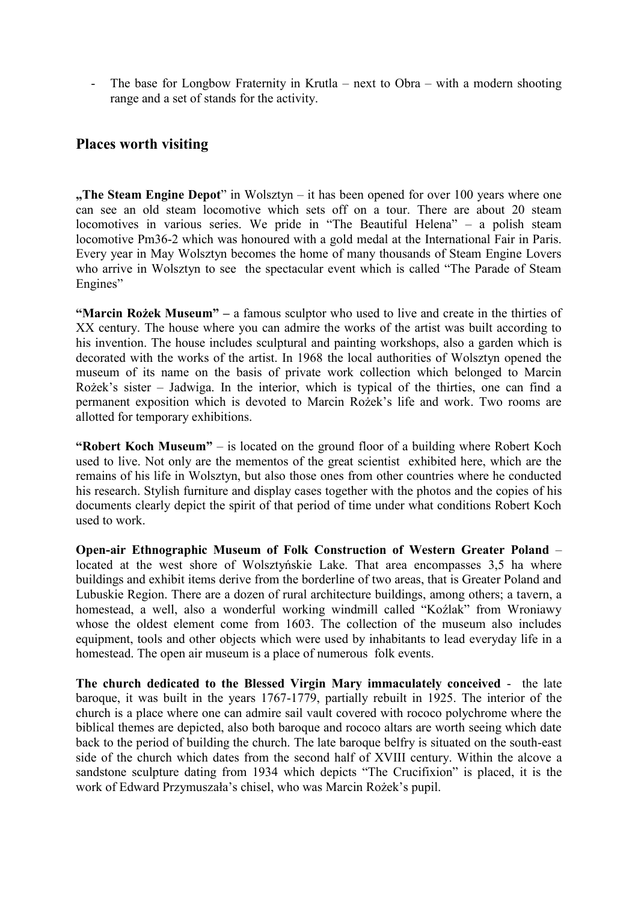The base for Longbow Fraternity in Krutla – next to Obra – with a modern shooting range and a set of stands for the activity.

### **Places worth visiting**

**"The Steam Engine Depot**" in Wolsztyn – it has been opened for over 100 years where one can see an old steam locomotive which sets off on a tour. There are about 20 steam locomotives in various series. We pride in "The Beautiful Helena" – a polish steam locomotive Pm36-2 which was honoured with a gold medal at the International Fair in Paris. Every year in May Wolsztyn becomes the home of many thousands of Steam Engine Lovers who arrive in Wolsztyn to see the spectacular event which is called "The Parade of Steam Engines"

**"Marcin Rożek Museum" –** a famous sculptor who used to live and create in the thirties of XX century. The house where you can admire the works of the artist was built according to his invention. The house includes sculptural and painting workshops, also a garden which is decorated with the works of the artist. In 1968 the local authorities of Wolsztyn opened the museum of its name on the basis of private work collection which belonged to Marcin Rożek's sister – Jadwiga. In the interior, which is typical of the thirties, one can find a permanent exposition which is devoted to Marcin Rożek's life and work. Two rooms are allotted for temporary exhibitions.

**"Robert Koch Museum"** – is located on the ground floor of a building where Robert Koch used to live. Not only are the mementos of the great scientist exhibited here, which are the remains of his life in Wolsztyn, but also those ones from other countries where he conducted his research. Stylish furniture and display cases together with the photos and the copies of his documents clearly depict the spirit of that period of time under what conditions Robert Koch used to work.

**Open-air Ethnographic Museum of Folk Construction of Western Greater Poland** – located at the west shore of Wolsztyńskie Lake. That area encompasses 3,5 ha where buildings and exhibit items derive from the borderline of two areas, that is Greater Poland and Lubuskie Region. There are a dozen of rural architecture buildings, among others; a tavern, a homestead, a well, also a wonderful working windmill called "Koźlak" from Wroniawy whose the oldest element come from 1603. The collection of the museum also includes equipment, tools and other objects which were used by inhabitants to lead everyday life in a homestead. The open air museum is a place of numerous folk events.

**The church dedicated to the Blessed Virgin Mary immaculately conceived** - the late baroque, it was built in the years 1767-1779, partially rebuilt in 1925. The interior of the church is a place where one can admire sail vault covered with rococo polychrome where the biblical themes are depicted, also both baroque and rococo altars are worth seeing which date back to the period of building the church. The late baroque belfry is situated on the south-east side of the church which dates from the second half of XVIII century. Within the alcove a sandstone sculpture dating from 1934 which depicts "The Crucifixion" is placed, it is the work of Edward Przymuszała's chisel, who was Marcin Rożek's pupil.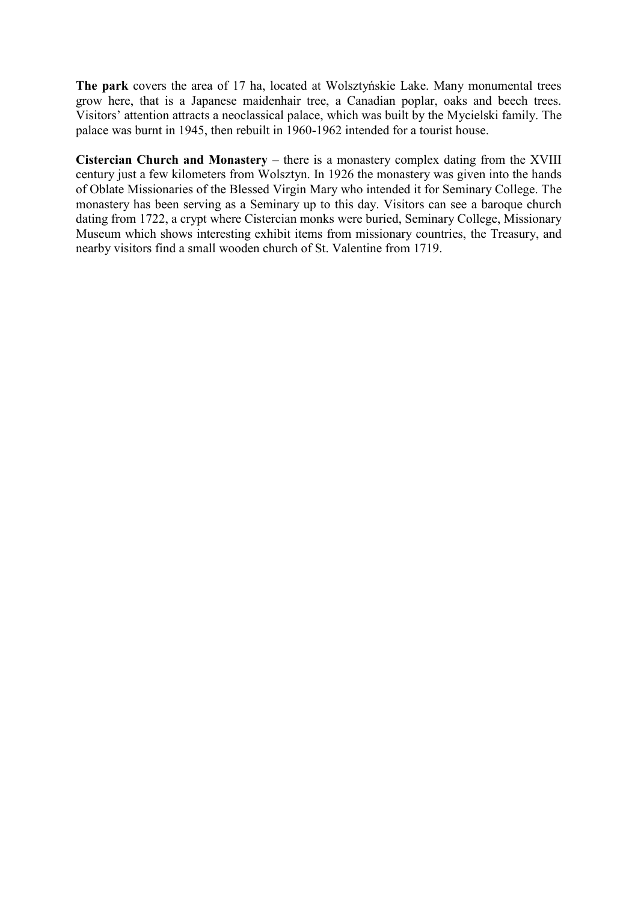**The park** covers the area of 17 ha, located at Wolsztyńskie Lake. Many monumental trees grow here, that is a Japanese maidenhair tree, a Canadian poplar, oaks and beech trees. Visitors' attention attracts a neoclassical palace, which was built by the Mycielski family. The palace was burnt in 1945, then rebuilt in 1960-1962 intended for a tourist house.

**Cistercian Church and Monastery** – there is a monastery complex dating from the XVIII century just a few kilometers from Wolsztyn. In 1926 the monastery was given into the hands of Oblate Missionaries of the Blessed Virgin Mary who intended it for Seminary College. The monastery has been serving as a Seminary up to this day. Visitors can see a baroque church dating from 1722, a crypt where Cistercian monks were buried, Seminary College, Missionary Museum which shows interesting exhibit items from missionary countries, the Treasury, and nearby visitors find a small wooden church of St. Valentine from 1719.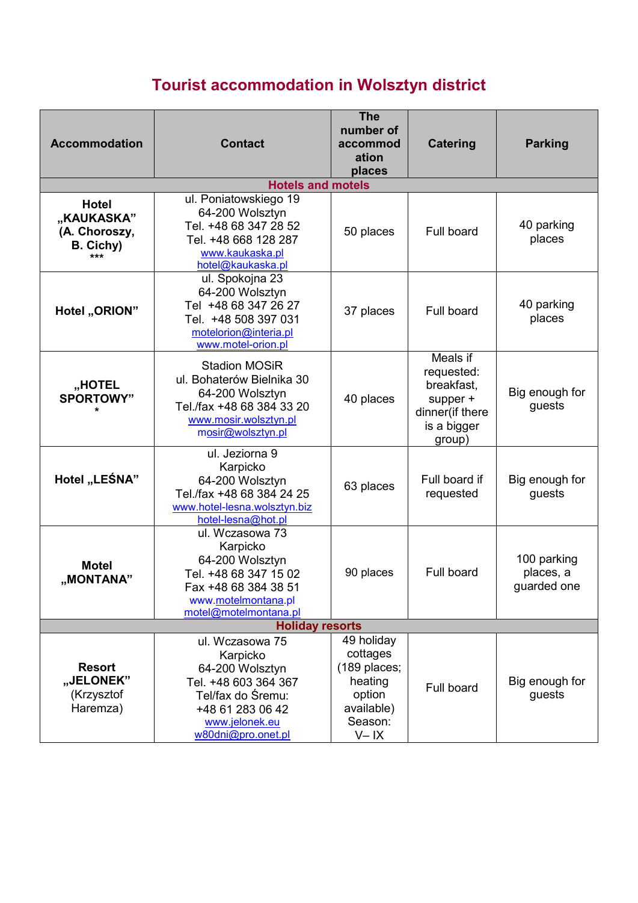# **Tourist accommodation in Wolsztyn district**

| <b>Accommodation</b>                                            | <b>Contact</b>                                                                                                                                          | <b>The</b><br>number of<br>accommod<br>ation<br>places                                           | <b>Catering</b>                                                                              | <b>Parking</b>                          |
|-----------------------------------------------------------------|---------------------------------------------------------------------------------------------------------------------------------------------------------|--------------------------------------------------------------------------------------------------|----------------------------------------------------------------------------------------------|-----------------------------------------|
|                                                                 | <b>Hotels and motels</b>                                                                                                                                |                                                                                                  |                                                                                              |                                         |
| <b>Hotel</b><br>"KAUKASKA"<br>(A. Choroszy,<br>B. Cichy)<br>*** | ul. Poniatowskiego 19<br>64-200 Wolsztyn<br>Tel. +48 68 347 28 52<br>Tel. +48 668 128 287<br>www.kaukaska.pl<br>hotel@kaukaska.pl                       | 50 places                                                                                        | Full board                                                                                   | 40 parking<br>places                    |
| Hotel "ORION"                                                   | ul. Spokojna 23<br>64-200 Wolsztyn<br>Tel +48 68 347 26 27<br>Tel. +48 508 397 031<br>motelorion@interia.pl<br>www.motel-orion.pl                       | 37 places                                                                                        | Full board                                                                                   | 40 parking<br>places                    |
| "HOTEL<br><b>SPORTOWY"</b><br>$\star$                           | <b>Stadion MOSiR</b><br>ul. Bohaterów Bielnika 30<br>64-200 Wolsztyn<br>Tel./fax +48 68 384 33 20<br>www.mosir.wolsztyn.pl<br>mosir@wolsztyn.pl         | 40 places                                                                                        | Meals if<br>requested:<br>breakfast,<br>supper +<br>dinner(if there<br>is a bigger<br>group) | Big enough for<br>guests                |
| Hotel "LEŚNA"                                                   | ul. Jeziorna 9<br>Karpicko<br>64-200 Wolsztyn<br>Tel./fax +48 68 384 24 25<br>www.hotel-lesna.wolsztyn.biz<br>hotel-lesna@hot.pl                        | 63 places                                                                                        | Full board if<br>requested                                                                   | Big enough for<br>guests                |
| <b>Motel</b><br>"MONTANA"                                       | ul. Wczasowa 73<br>Karpicko<br>64-200 Wolsztyn<br>Tel. +48 68 347 15 02<br>Fax +48 68 384 38 51<br>www.motelmontana.pl<br>motel@motelmontana.pl         | 90 places                                                                                        | Full board                                                                                   | 100 parking<br>places, a<br>guarded one |
| <b>Holiday resorts</b>                                          |                                                                                                                                                         |                                                                                                  |                                                                                              |                                         |
| <b>Resort</b><br>"JELONEK"<br>(Krzysztof<br>Haremza)            | ul. Wczasowa 75<br>Karpicko<br>64-200 Wolsztyn<br>Tel. +48 603 364 367<br>Tel/fax do Śremu:<br>+48 61 283 06 42<br>www.jelonek.eu<br>w80dni@pro.onet.pl | 49 holiday<br>cottages<br>(189 places;<br>heating<br>option<br>available)<br>Season:<br>$V - IX$ | Full board                                                                                   | Big enough for<br>guests                |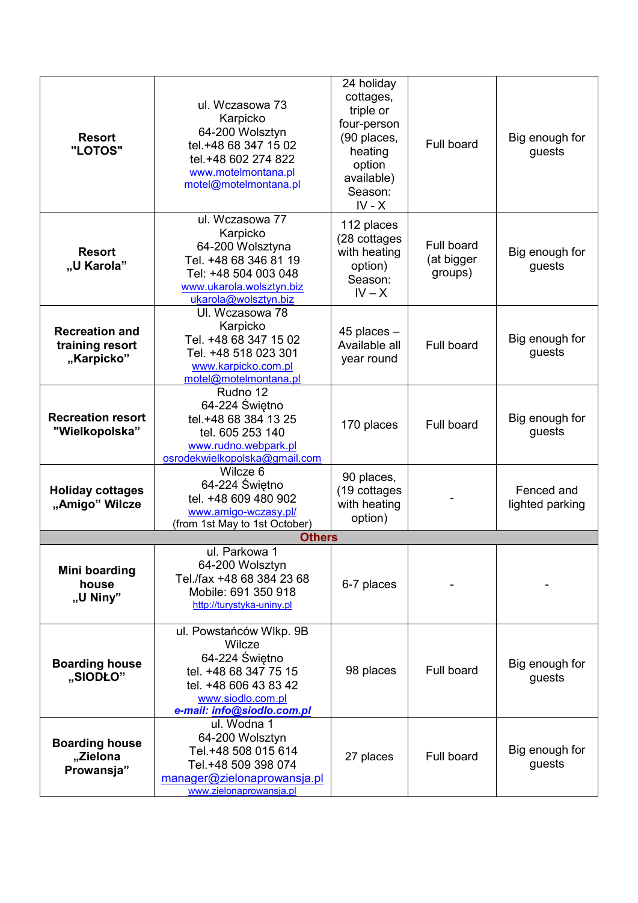| <b>Resort</b><br>"LOTOS"                               | ul. Wczasowa 73<br>Karpicko<br>64-200 Wolsztyn<br>tel.+48 68 347 15 02<br>tel.+48 602 274 822<br>www.motelmontana.pl<br>motel@motelmontana.pl            | 24 holiday<br>cottages,<br>triple or<br>four-person<br>(90 places,<br>heating<br>option<br>available)<br>Season:<br>$IV - X$ | Full board                          | Big enough for<br>guests      |
|--------------------------------------------------------|----------------------------------------------------------------------------------------------------------------------------------------------------------|------------------------------------------------------------------------------------------------------------------------------|-------------------------------------|-------------------------------|
| <b>Resort</b><br>"U Karola"                            | ul. Wczasowa 77<br>Karpicko<br>64-200 Wolsztyna<br>Tel. +48 68 346 81 19<br>Tel: +48 504 003 048<br>www.ukarola.wolsztyn.biz<br>ukarola@wolsztyn.biz     | 112 places<br>(28 cottages<br>with heating<br>option)<br>Season:<br>$IV - X$                                                 | Full board<br>(at bigger<br>groups) | Big enough for<br>guests      |
| <b>Recreation and</b><br>training resort<br>"Karpicko" | Ul. Wczasowa 78<br>Karpicko<br>Tel. +48 68 347 15 02<br>Tel. +48 518 023 301<br>www.karpicko.com.pl<br>motel@motelmontana.pl                             | $45$ places $-$<br>Available all<br>year round                                                                               | Full board                          | Big enough for<br>guests      |
| <b>Recreation resort</b><br>"Wielkopolska"             | Rudno 12<br>64-224 Świętno<br>tel.+48 68 384 13 25<br>tel. 605 253 140<br>www.rudno.webpark.pl<br>osrodekwielkopolska@gmail.com                          | 170 places                                                                                                                   | Full board                          | Big enough for<br>guests      |
| <b>Holiday cottages</b><br>"Amigo" Wilcze              | Wilcze 6<br>64-224 Świętno<br>tel. +48 609 480 902<br>www.amigo-wczasy.pl/<br>(from 1st May to 1st October)                                              | 90 places,<br>(19 cottages<br>with heating<br>option)                                                                        |                                     | Fenced and<br>lighted parking |
|                                                        | <b>Others</b>                                                                                                                                            |                                                                                                                              |                                     |                               |
| Mini boarding<br>house<br>"U Niny"                     | ul. Parkowa 1<br>64-200 Wolsztyn<br>Tel./fax +48 68 384 23 68<br>Mobile: 691 350 918<br>http://turystyka-uniny.pl                                        | 6-7 places                                                                                                                   |                                     |                               |
| <b>Boarding house</b><br>"SIODŁO"                      | ul. Powstańców Wlkp. 9B<br>Wilcze<br>64-224 Świętno<br>tel. +48 68 347 75 15<br>tel. +48 606 43 83 42<br>www.siodlo.com.pl<br>e-mail: info@siodlo.com.pl | 98 places                                                                                                                    | Full board                          | Big enough for<br>guests      |
| <b>Boarding house</b><br>"Zielona<br>Prowansja"        | ul. Wodna 1<br>64-200 Wolsztyn<br>Tel.+48 508 015 614<br>Tel.+48 509 398 074<br>manager@zielonaprowansja.pl<br>www.zielonaprowansja.pl                   | 27 places                                                                                                                    | <b>Full board</b>                   | Big enough for<br>guests      |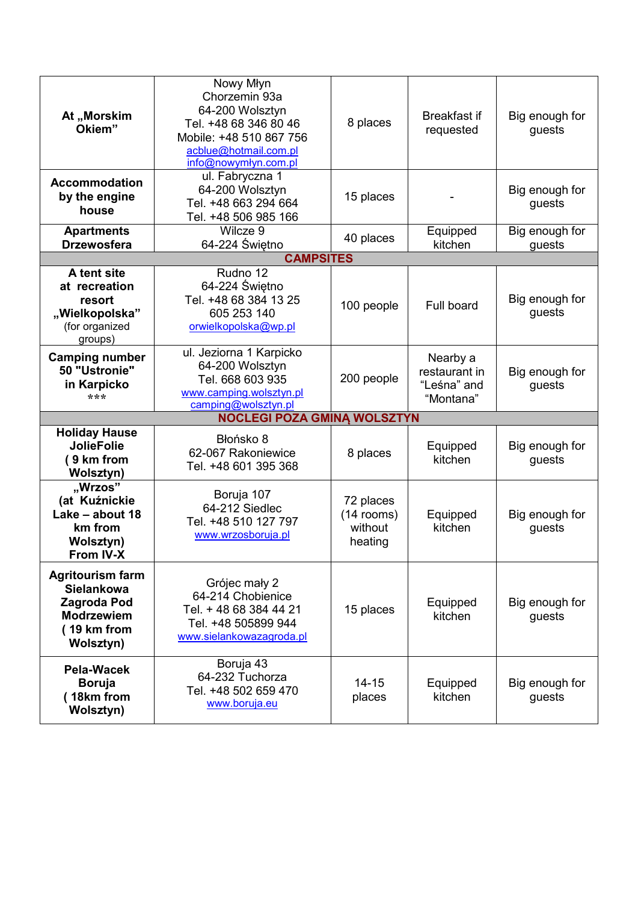| At "Morskim<br>Okiem"                                                                                               | Nowy Młyn<br>Chorzemin 93a<br>64-200 Wolsztyn<br>Tel. +48 68 346 80 46<br>Mobile: +48 510 867 756<br>acblue@hotmail.com.pl<br>info@nowymłyn.com.pl | 8 places                                        | <b>Breakfast if</b><br>requested                      | Big enough for<br>guests |
|---------------------------------------------------------------------------------------------------------------------|----------------------------------------------------------------------------------------------------------------------------------------------------|-------------------------------------------------|-------------------------------------------------------|--------------------------|
| <b>Accommodation</b><br>by the engine<br>house                                                                      | ul. Fabryczna 1<br>64-200 Wolsztyn<br>Tel. +48 663 294 664<br>Tel. +48 506 985 166                                                                 | 15 places                                       |                                                       | Big enough for<br>guests |
| <b>Apartments</b>                                                                                                   | Wilcze 9                                                                                                                                           | 40 places                                       | Equipped                                              | Big enough for           |
| <b>Drzewosfera</b>                                                                                                  | 64-224 Świętno<br><b>CAMPSITES</b>                                                                                                                 |                                                 | kitchen                                               | guests                   |
| A tent site<br>at recreation<br>resort<br>"Wielkopolska"<br>(for organized<br>groups)                               | Rudno 12<br>64-224 Świętno<br>Tel. +48 68 384 13 25<br>605 253 140<br>orwielkopolska@wp.pl                                                         | 100 people                                      | Full board                                            | Big enough for<br>guests |
| <b>Camping number</b><br>50 "Ustronie"<br>in Karpicko<br>***                                                        | ul. Jeziorna 1 Karpicko<br>64-200 Wolsztyn<br>Tel. 668 603 935<br>www.camping.wolsztyn.pl<br>camping@wolsztyn.pl                                   | 200 people                                      | Nearby a<br>restaurant in<br>"Leśna" and<br>"Montana" | Big enough for<br>guests |
|                                                                                                                     | <b>NOCLEGI POZA GMINĄ WOLSZTYN</b>                                                                                                                 |                                                 |                                                       |                          |
| <b>Holiday Hause</b><br><b>JolieFolie</b><br>(9 km from<br><b>Wolsztyn)</b>                                         | Błońsko 8<br>62-067 Rakoniewice<br>Tel. +48 601 395 368                                                                                            | 8 places                                        | Equipped<br>kitchen                                   | Big enough for<br>guests |
| "Wrzos"<br>(at Kuźnickie<br>Lake - about 18<br>km from<br><b>Wolsztyn)</b><br>From IV-X                             | Boruja 107<br>64-212 Siedlec<br>Tel. +48 510 127 797<br>www.wrzosboruja.pl                                                                         | 72 places<br>$(14$ rooms)<br>without<br>heating | Equipped<br>kitchen                                   | Big enough for<br>guests |
| <b>Agritourism farm</b><br><b>Sielankowa</b><br><b>Zagroda Pod</b><br><b>Modrzewiem</b><br>(19 km from<br>Wolsztyn) | Grójec mały 2<br>64-214 Chobienice<br>Tel. + 48 68 384 44 21<br>Tel. +48 505899 944<br>www.sielankowazagroda.pl                                    | 15 places                                       | Equipped<br>kitchen                                   | Big enough for<br>guests |
| Pela-Wacek<br><b>Boruja</b><br>(18km from<br>Wolsztyn)                                                              | Boruja 43<br>64-232 Tuchorza<br>Tel. +48 502 659 470<br>www.boruja.eu                                                                              | $14 - 15$<br>places                             | Equipped<br>kitchen                                   | Big enough for<br>guests |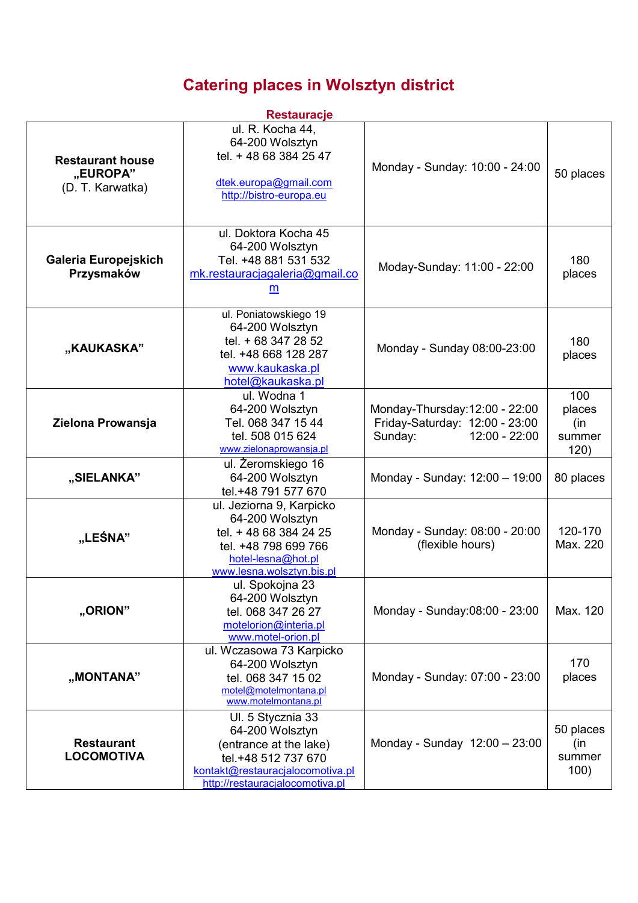## **Catering places in Wolsztyn district**

| <b>Restauracje</b>                                      |                                                                                                                                                              |                                                                                              |                                        |  |  |  |
|---------------------------------------------------------|--------------------------------------------------------------------------------------------------------------------------------------------------------------|----------------------------------------------------------------------------------------------|----------------------------------------|--|--|--|
| <b>Restaurant house</b><br>"EUROPA"<br>(D. T. Karwatka) | ul. R. Kocha 44,<br>64-200 Wolsztyn<br>tel. + 48 68 384 25 47<br>dtek.europa@gmail.com<br>http://bistro-europa.eu                                            | Monday - Sunday: 10:00 - 24:00                                                               | 50 places                              |  |  |  |
| Galeria Europejskich<br>Przysmaków                      | ul. Doktora Kocha 45<br>64-200 Wolsztyn<br>Tel. +48 881 531 532<br>mk.restauracjagaleria@gmail.co<br>$\underline{\mathsf{m}}$                                | Moday-Sunday: 11:00 - 22:00                                                                  | 180<br>places                          |  |  |  |
| "KAUKASKA"                                              | ul. Poniatowskiego 19<br>64-200 Wolsztyn<br>tel. + 68 347 28 52<br>tel. +48 668 128 287<br>www.kaukaska.pl<br>hotel@kaukaska.pl                              | Monday - Sunday 08:00-23:00                                                                  | 180<br>places                          |  |  |  |
| Zielona Prowansja                                       | ul. Wodna 1<br>64-200 Wolsztyn<br>Tel. 068 347 15 44<br>tel. 508 015 624<br>www.zielonaprowansja.pl                                                          | Monday-Thursday: 12:00 - 22:00<br>Friday-Saturday: 12:00 - 23:00<br>Sunday:<br>12:00 - 22:00 | 100<br>places<br>(in<br>summer<br>120) |  |  |  |
| "SIELANKA"                                              | ul. Żeromskiego 16<br>64-200 Wolsztyn<br>tel.+48 791 577 670                                                                                                 | Monday - Sunday: 12:00 - 19:00                                                               | 80 places                              |  |  |  |
| "LEŚNA"                                                 | ul. Jeziorna 9, Karpicko<br>64-200 Wolsztyn<br>tel. + 48 68 384 24 25<br>tel. +48 798 699 766<br>hotel-lesna@hot.pl<br>www.lesna.wolsztyn.bis.pl             | Monday - Sunday: 08:00 - 20:00<br>(flexible hours)                                           | 120-170<br>Max. 220                    |  |  |  |
| "ORION"                                                 | ul. Spokojna 23<br>64-200 Wolsztyn<br>tel. 068 347 26 27<br>motelorion@interia.pl<br>www.motel-orion.pl                                                      | Monday - Sunday:08:00 - 23:00                                                                | Max. 120                               |  |  |  |
| "MONTANA"                                               | ul. Wczasowa 73 Karpicko<br>64-200 Wolsztyn<br>tel. 068 347 15 02<br>motel@motelmontana.pl<br>www.motelmontana.pl                                            | Monday - Sunday: 07:00 - 23:00                                                               | 170<br>places                          |  |  |  |
| <b>Restaurant</b><br><b>LOCOMOTIVA</b>                  | Ul. 5 Stycznia 33<br>64-200 Wolsztyn<br>(entrance at the lake)<br>tel.+48 512 737 670<br>kontakt@restauracjalocomotiva.pl<br>http://restauracjalocomotiva.pl | Monday - Sunday 12:00 - 23:00                                                                | 50 places<br>(in<br>summer<br>100)     |  |  |  |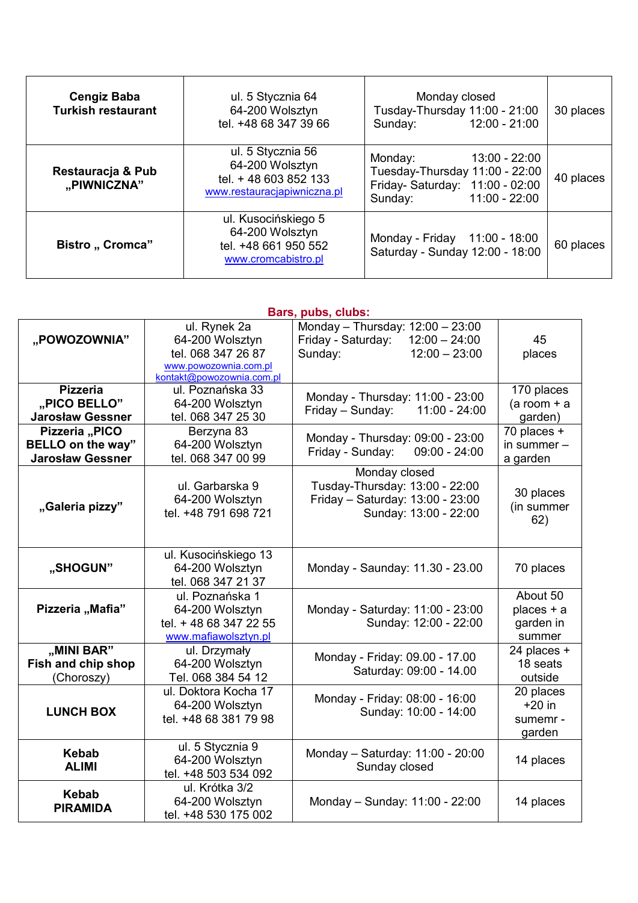| <b>Cengiz Baba</b><br><b>Turkish restaurant</b> | ul. 5 Stycznia 64<br>64-200 Wolsztyn<br>tel. +48 68 347 39 66                                | Monday closed<br>Tusday-Thursday 11:00 - 21:00<br>Sunday: 12:00 - 21:00                                                   | 30 places |
|-------------------------------------------------|----------------------------------------------------------------------------------------------|---------------------------------------------------------------------------------------------------------------------------|-----------|
| Restauracja & Pub<br>"PIWNICZNA"                | ul. 5 Stycznia 56<br>64-200 Wolsztyn<br>tel. + 48 603 852 133<br>www.restauracjapiwniczna.pl | Monday:<br>13:00 - 22:00<br>Tuesday-Thursday 11:00 - 22:00<br>Friday- Saturday: 11:00 - 02:00<br>Sunday:<br>11:00 - 22:00 | 40 places |
| Bistro "Cromca"                                 | ul. Kusocińskiego 5<br>64-200 Wolsztyn<br>tel. +48 661 950 552<br>www.cromcabistro.pl        | Monday - Friday 11:00 - 18:00<br>Saturday - Sunday 12:00 - 18:00                                                          | 60 places |

| Bars, pubs, clubs:      |                           |                                       |                |  |
|-------------------------|---------------------------|---------------------------------------|----------------|--|
|                         | ul. Rynek 2a              | Monday - Thursday: 12:00 - 23:00      |                |  |
| "POWOZOWNIA"            | 64-200 Wolsztyn           | $12:00 - 24:00$<br>Friday - Saturday: | 45             |  |
|                         | tel. 068 347 26 87        | $12:00 - 23:00$<br>Sunday:            | places         |  |
|                         | www.powozownia.com.pl     |                                       |                |  |
|                         | kontakt@powozownia.com.pl |                                       |                |  |
| <b>Pizzeria</b>         | ul. Poznańska 33          | Monday - Thursday: 11:00 - 23:00      | 170 places     |  |
| "PICO BELLO"            | 64-200 Wolsztyn           | Friday - Sunday:<br>$11:00 - 24:00$   | $(a room + a)$ |  |
| <b>Jarosław Gessner</b> | tel. 068 347 25 30        |                                       | garden)        |  |
| Pizzeria "PICO          | Berzyna 83                | Monday - Thursday: 09:00 - 23:00      | 70 places +    |  |
| BELLO on the way"       | 64-200 Wolsztyn           | Friday - Sunday:<br>$09:00 - 24:00$   | in summer $-$  |  |
| <b>Jarosław Gessner</b> | tel. 068 347 00 99        |                                       | a garden       |  |
|                         |                           | Monday closed                         |                |  |
|                         | ul. Garbarska 9           | Tusday-Thursday: 13:00 - 22:00        | 30 places      |  |
| "Galeria pizzy"         | 64-200 Wolsztyn           | Friday - Saturday: 13:00 - 23:00      | (in summer     |  |
|                         | tel. +48 791 698 721      | Sunday: 13:00 - 22:00                 | 62)            |  |
|                         |                           |                                       |                |  |
|                         |                           |                                       |                |  |
|                         | ul. Kusocińskiego 13      |                                       |                |  |
| "SHOGUN"                | 64-200 Wolsztyn           | Monday - Saunday: 11.30 - 23.00       | 70 places      |  |
|                         | tel. 068 347 21 37        |                                       |                |  |
|                         | ul. Poznańska 1           |                                       | About 50       |  |
| Pizzeria "Mafia"        | 64-200 Wolsztyn           | Monday - Saturday: 11:00 - 23:00      | places + a     |  |
|                         | tel. + 48 68 347 22 55    | Sunday: 12:00 - 22:00                 | garden in      |  |
|                         | www.mafiawolsztyn.pl      |                                       | summer         |  |
| "MINI BAR"              | ul. Drzymały              | Monday - Friday: 09.00 - 17.00        | 24 places +    |  |
| Fish and chip shop      | 64-200 Wolsztyn           | Saturday: 09:00 - 14.00               | 18 seats       |  |
| (Choroszy)              | Tel. 068 384 54 12        |                                       | outside        |  |
|                         | ul. Doktora Kocha 17      | Monday - Friday: 08:00 - 16:00        | 20 places      |  |
| <b>LUNCH BOX</b>        | 64-200 Wolsztyn           | Sunday: 10:00 - 14:00                 | $+20$ in       |  |
|                         | tel. +48 68 381 79 98     |                                       | sumemr -       |  |
|                         |                           |                                       | garden         |  |
| <b>Kebab</b>            | ul. 5 Stycznia 9          | Monday - Saturday: 11:00 - 20:00      |                |  |
| <b>ALIMI</b>            | 64-200 Wolsztyn           | Sunday closed                         | 14 places      |  |
|                         | tel. +48 503 534 092      |                                       |                |  |
| <b>Kebab</b>            | ul. Krótka 3/2            |                                       |                |  |
| <b>PIRAMIDA</b>         | 64-200 Wolsztyn           | Monday - Sunday: 11:00 - 22:00        | 14 places      |  |
|                         | tel. +48 530 175 002      |                                       |                |  |